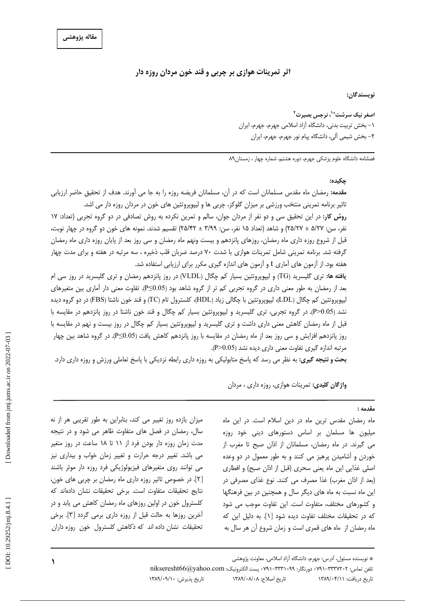# اثر تمرینات هوازی بر چربی و قند خون مردان روزه دار

نويسندگان:

اصغر نیک سرشت\*'، نرجس بصیرت<sup>۲</sup> ۱– بخش تربیت بدنی، دانشگاه آزاد اسلامی جهرم، جهرم، ایران ٢- بخش شيمي آلي، دانشگاه پيام نور جهرم، جهرم، ايران

فصلنامه دانشگاه علوم پزشکی جهرم، دوره هشتم، شماره چهار ، زمستان۸۹

#### حكىدە:

مقدمه: رمضان ماه مقدس مسلمانان است كه در آن، مسلمانان فريضه روزه را به جا مي آورند. هدف از تحقيق حاضر ارزيابي تاثیر برنامه تمرینی منتخب ورزشی بر میزان گلوکز، چربی ها و لیپوپروتئین های خون در مردان روزه دار می اشد.

روش کار: در این تحقیق سی و دو نفر از مردان جوان، سالم و تمرین نکرده به روش تصادفی در دو گروه تجربی (تعداد: ١٧ نفر، سن: ۲۷/ه ± ۲۵/۲۷) و شاهد (تعداد ۱۵ نفر، سن: ۳/۹۹ ± ۲۵/۴۲) تقسیم شدند. نمونه های خون دو گروه در چهار نوبت، قبل از شروع روزه داری ماه رمضان، روزهای پانزدهم و بیست ونهم ماه رمضان و سی روز بعد از پایان روزه داری ماه رمضان گرفته شد. برنامه تمرینی شامل تمرینات هوازی با شدت ۷۰ درصد ضربان قلب ذخیره ، سه مرتبه در هفته و برای مدت چهار هفته بود. از آزمون های آماری t و آزمون های اندازه گیری مکرر برای ارزیابی استفاده شد.

یافته ها: تری گلیسرید (TG) و لیپوپروتئین بسیار کم چگال (VLDL) در روز پانزدهم رمضان و تری گلیسرید در روز سی ام بعد از رمضان به طور معنی داری در گروه تجربی کم تر از گروه شاهد بود (P≤0.05). تفاوت معنی دار آماری بین متغیرهای ليپوپروتئين كم چگال (LDL)، ليپوپروتئين با چگالي زياد (HDL)، كلسترول تام (TC) و قند خون ناشتا (FBS) در دو گروه ديده نشد (P>0.05). در گروه تجربی، تری گلیسرید و لیپوپروتئین بسیار کم چگال و قند خون ناشتا در روز پانزدهم در مقایسه با قبل از ماه رمضان کاهش معنی داری داشت و تری گلیسرید و لپیوپروتئین بسیار کم چگال در روز بیست و نهم در مقایسه با روز پانزدهم افزایش و سی روز بعد از ماه رمضان در مقایسه با روز پانزدهم کاهش یافت (P≤0.05). در گروه شاهد بین چهار مرتبه اندازه گیری تفاوت معنی داری دیده نشد (P>0.05).

بحث و نتیجه گیری: به نظر می رسد که پاسخ متابولیکی به روزه داری رابطه نزدیکی با پاسخ تعاملی ورزش و روزه داری دارد.

**واژگان کلیدی:** تمرینات هوازی، روزه داری ، مردان

#### مقدمه :

ماه رمضان مقدس ترین ماه در دین اسلام است. در این ماه میلیون ها مسلمان بر اساس دستورهای دینی خود روزه می گیرند. در ماه رمضان، مسلمانان از اذان صبح تا مغرب از خوردن و آشامیدن پرهیز می کنند و به طور معمول در دو وعده اصلی غذایی این ماه یعنی سحری (قبل از اذان صبح) و افطاری (بعد از اذان مغرب) غذا مصرف می کنند. نوع غذای مصرفی در این ماه نسبت به ماه های دیگر سال و همچنین در بین فرهنگها و کشورهای مختلف، متفاوت است. این تفاوت موجب می شود که در تحقیقات مختلف تفاوت دیده شود [۱]. به دلیل این که ماه رمضان از ً ماه های قمری است و زمان شروع آن هر سال به

میزان یازده روز تغییر می کند، بنابراین به طور تقریبی هر از نه سال، رمضان در فصل های متفاوت ظاهر می شود و در نتیجه مدت زمان روزه دار بودن فرد از ۱۱ تا ۱۸ ساعت در روز متغیر می باشد. تغییر درجه حرارت و تغییر زمان خواب و بیداری نیز می توانند روی متغیرهای فیزیولوژیکی فرد روزه دار موثر باشند [٢]. در خصوص تاثیر روزه داری ماه رمضان بر چربی های خون، نتايج تحقيقات متفاوت است. برخى تحقيقات نشان دادهاند كه کلسترول خون در اولین روزهای ماه رمضان کاهش می یابد و در أخرين روزها به حالت قبل از روزه داري برمي گردد [۳]. برخي تحقیقات نشان داده اند که ذکاهش کلسترول خون روزه داران

تلفن تماس: ٣٣٣٧٢٠٢-٩١٠١٠ دورنگار: ٣٣٣١٠٩٩-٩٧١٠ يست الكترونيك: nikseresht66@yahoo.com تاریخ پذیرش: ١٣٨٩/٠٩/١٠

تاريخ اصلاح: ١٣٨٩/٠٨/٠٨ تاریخ دریافت: ۱۳۸۹/۰۴/۱۱

<sup>\*</sup> نویسنده مسئول، آدرس: جهرم، دانشگاه آزاد اسلامی، معاونت پژوهشی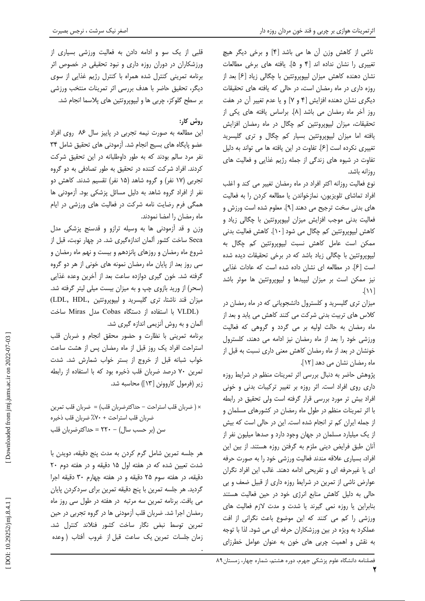ناشی از کاهش وزن آن ها می باشد [۴] و برخی دیگر هیچ تغییری را نشان نداده اند [۴ و ۵]. یافته های برخی مطالعات نشان دهنده کاهش میزان لیپوپروتئین با چگالی زیاد [۶] بعد از روزه داری در ماه رمضان است، در حالی که یافته های تحقیقات دیگری نشان دهنده افزایش [۴ و ۷] و یا عدم تغییر آن در هفت روز آخر ماه رمضان می باشد [٨]. براساس یافته های یکی از تحقیقات، میزان لیپوپروتئین کم چگال در ماه رمضان افزایش یافته اما میزان لیپوپروتئین بسیار کم چگال و تری گلیسرید تغییری نکرده است [۶]. تفاوت در این یافته ها می تواند به دلیل تفاوت در شیوه های زندگی از جمله رژیم غذایی و فعالیت های روزانه باشد.

نوع فعالیت روزانه اکثر افراد در ماه رمضان تغییر می کند و اغلب افراد تماشای تلویزیون، نمازخواندن یا مطالعه کردن را به فعالیت های بدنی سخت ترجیح می دهند [۹]. معلوم شده است ورزش و فعالیت بدنی موجب افزایش میزان لیپوپروتئین با چگالی زیاد و کاهش لیپویروتئین کم چگال می شود [۱۰]. کاهش فعالیت بدنی ممکن است عامل کاهش نسبت لیپوپروتئین کم چگال به لیپویروتئین با چگالی زیاد باشد که در برخی تحقیقات دیده شده است [۶]. در مطالعه ای نشان داده شده است که عادات غذایی نیز ممکن است بر میزان لیپیدها و لیپویروتئین ها موثر باشد  $\lceil \mathcal{N} \rceil$ 

میزان تری گلیسرید و کلسترول دانشجویانی که در ماه رمضان در کلاس های تربیت بدنی شرکت می کنند کاهش می یابد و بعد از ماه رمضان به حالت اولیه بر می گردد و گروهی که فعالیت ورزشی خود را بعد از ماه رمضان نیز ادامه می دهند، کلسترول خونشان در بعد از ماه رمضان كاهش معنى دارى نسبت به قبل از ماه رمضان نشان می دهد [۱۲].

پژوهش حاضر به دنبال بررسی اثر تمرینات منظم در شرایط روزه داری روی افراد است. اثر روزه بر تغییر ترکیبات بدنی و خونی افراد بیش تر مورد بررسی قرار گرفته است ولی تحقیق در رابطه با اثر تمرینات منظم در طول ماه رمضان در کشورهای مسلمان و از جمله ایران کم تر انجام شده است. این در حالی است که بیش از یک میلیارد مسلمان در جهان وجود دارد و صدها میلیون نفر از أنان طبق فرايض ديني ملزم به گرفتن روزه هستند. از بين اين افراد، بسیاری علاقه مندند فعالیت ورزشی خود را به صورت حرفه ای یا غیرحرفه ای و تفریحی ادامه دهند. غالب این افراد نگران عوارض ناشی از تمرین در شرایط روزه داری از قبیل ضعف و بی حالی به دلیل کاهش منابع انرژی خود در حین فعالیت هستند بنابراین یا روزه نمی گیرند یا شدت و مدت لازم فعالیت های ورزشی را کم می کنند که این موضوع باعث نگرانی از افت عملکرد به ویژه در بین ورزشکاران حرفه ای می شود. لذا با توجه به نقش و اهمیت چربی های خون به عنوان عوامل خطرزای

# روش کار:

این مطالعه به صورت نیمه تجربی در پاییز سال ۸۶ روی افراد عضو پایگاه های بسیج انجام شد. آزمودنی های تحقیق شامل ۳۴ نفر مرد سالم بودند که به طور داوطلبانه در این تحقیق شرکت کردند. افراد شرکت کننده در تحقیق به طور تصادفی به دو گروه تجربی (۱۷ نفر) و گروه شاهد (۱۵ نفر) تقسیم شدند. کاهش دو نفر از افراد گروه شاهد به دلیل مسائل پزشکی بود. آزمودنی ها همگی فرم رضایت نامه شرکت در فعالیت های ورزشی در ایام ماه رمضان را امضا نمودند.

وزن و قد آزمودنی ها به وسیله ترازو و قدسنج پزشکی مدل Seca ساخت کشور آلمان اندازهگیری شد. در چهار نوبت، قبل از شروع ماه رمضان و روزهای پانزدهم و بیست و نهم ماه رمضان و سی روز بعد از پایان ماه رمضان نمونه های خونی از هر دو گروه گرفته شد. خون گیری دوازده ساعت بعد از آخرین وعده غذایی (سحر) از ورید بازوی چپ و به میزان بیست میلی لیتر گرفته شد. ميزان قند ناشتا، ترى گليسريد و ليپوپروتئين ,LDL, HDL) (VLDL با استفاده از دستگاه Cobas مدل Miras ساخت آلمان و به روش آنزیمی اندازه گیری شد.

برنامه تمرینی با نظارت و حضور محقق انجام و ضربان قلب استراحت افراد یک روز قبل از ماه رمضان پس از هشت ساعت خواب شبانه قبل از خروج از بستر خواب شمارش شد. شدت تمرین ۷۰ درصد ضربان قلب ذخیره بود که با استفاده از رابطه زير (فرمول كاروونن [١٣]) محاسبه شد.

× (ضربان قلب استراحت - حداكثرضربان قلب) = ضربان قلب تمرين ضربان قلب استراحت + ٧٠٪ ضربان قلب ذخيره سن (بر حسب سال) – ۲۲۰ = حداکثرضربان قلب

هر جلسه تمرین شامل گرم کردن به مدت پنج دقیقه، دویدن با شدت تعیین شده که در هفته اول ۱۵ دقیقه و در هفته دوم ۲۰ دقيقه، در هفته سوم ٢۵ دقيقه و در هفته چهارم ٣٠ دقيقه اجرا گردید. هر جلسه تمرین با پنج دقیقه تمرین برای سردکردن پایان می یافت. برنامه تمرین سه مرتبه در هفته در طول سی روز ماه رمضان اجرا شد. ضربان قلب آزمودنی ها در گروه تجربی در حین تمرين توسط نبض نگار ساخت كشور فنلاند كنترل شد. زمان جلسات تمرین یک ساعت قبل از غروب آفتاب (وعده

۲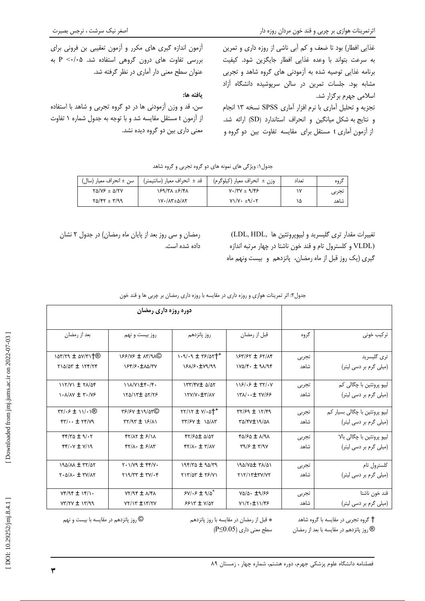غذایی افطار) بود تا ضعف و کم آبی ناشی از روزه داری و تمرین به سرعت بتواند با وعده غذايي افطار جايگزين شود. كيفيت برنامه غذایی توصیه شده به آزمودنی های گروه شاهد و تجربی مشابه بود. جلسات تمرین در سالن سرپوشیده دانشگاه آزاد اسلامی جهرم برگزار شد. تجزیه و تحلیل آماری با نرم افزار آماری SPSS نسخه ۱۳ انجام و نتايج به شكل ميانگين و انحراف استاندارد (SD) ارائه شد. از آزمون آماری t مستقل برای مقایسه تفاوت بین دو گروه و

آزمون اندازه گیری های مکرر و آزمون تعقیبی بن فرونی برای بررسی تفاوت های درون گروهی استفاده شد. P <-/.0 عنوان سطح معنى دار آماري در نظر گرفته شد.

## يافته ها:

سن، قد و وزن آزمودنی ها در دو گروه تجربی و شاهد با استفاده از آزمون t مستقل مقایسه شد و با توجه به جدول شماره ۱ تفاوت معنی داری بین دو گروه دیده نشد.

| سن ± انحراف معيار (سال)      | قد ± انحراف معيار (سانتيمتر′ | وزن ± انحراف معيار (كيلوگرم)    | تعداد | در و ه |
|------------------------------|------------------------------|---------------------------------|-------|--------|
| $Y\Delta/Y$ $\pm$ $\Delta/Y$ | 169/۳۸ ±۶/۴۸                 | $Y \cdot / TY \pm 9/ f \cdot 5$ | ١v    | تجربي  |
| $Y\Delta/FY + Y'\Delta Q$    | 1Y . / AT ± 0/ AT            | $Y1/Y \cdot \pm 9/Y$            | ۱۵    | شاهد   |

تغييرات مقدار ترى گليسريد و ليپوپروتئين ها (LDL, HDL) (VLDL و كلسترول تام و قند خون ناشتا در چهار مرتبه اندازه گیری (یک روز قبل از ماه رمضان، پانزدهم و بیست ونهم ماه

رمضان و سی روز بعد از پایان ماه رمضان) در جدول ۲ نشان داده شده است.

| جدول۲: اثر تمرینات هوازی و روزه داری در مقایسه با روزه داری رمضان بر چربی ها و قند خون |  |
|----------------------------------------------------------------------------------------|--|
|                                                                                        |  |

| دوره روزه داری رمضان                                                                |                                                               |                                                                                      |                                                 |       |                                |
|-------------------------------------------------------------------------------------|---------------------------------------------------------------|--------------------------------------------------------------------------------------|-------------------------------------------------|-------|--------------------------------|
| بعد از رمضان                                                                        | روز بیست و نهم                                                | روز يانزدهم                                                                          | قبل از رمضان                                    | گروه  | تر کیب خونی                    |
| $\arctan \pm \arctan \theta$                                                        | $N^{8}$ / $N^{8}$ ± $N^{9}$                                   | $1.9/19 \pm 79/00$                                                                   | 184/57 ± 57/14                                  | تجربي | ترى گليسريد                    |
| $Y10/2T \pm 117/77$                                                                 | 184/8.110/TV                                                  | 181/8.179/99                                                                         | $1Y\Delta/F \cdot \pm 91/9F$                    | شاهد  | (میلی گرم بر دسی لیتر)         |
| $117/Y1 \pm 71/25$                                                                  | $11\lambda/V$ $\pm$ ۴./۴.                                     | ITT/FV± 0/07                                                                         | $118/55 \pm 77/57$                              | تجربى | لپيو پروتئين با چگالي کم       |
| $\cdot \sqrt{\Delta V} \pm \frac{\pi}{V} \sqrt{V}$                                  | $150/17$ $\pm$ $07/75$                                        | ITY/V· ±٣/٨٧                                                                         | $YX/\cdot t + YY/SS$                            | شاهد  | (میلی گرم بر دسی لیتر)         |
| $\mathsf{TY}/\mathsf{F} \pm \mathsf{1}/\mathsf{1}(\mathbb{R})$                      |                                                               | $\gamma\gamma/\gamma \pm \gamma/\omega$ <sup>*</sup>                                 | $77/59 \pm 17/59$                               | تجربي | لیپو پروتئین با چگالی بسیار کم |
| $YY/\cdots \pm YY/Y$                                                                | $\gamma$                                                      | $\tau\tau$ / $\epsilon$ $\tau$ $\pm$ $\lambda\Delta\Lambda\tau$                      | XQ/FV±19/QA                                     | شاهد  | (میلی گرم بر دسی لیتر)         |
| $f(f/T) \pm 9/17$                                                                   | $fY/AY \pm fY/IX$                                             | $fY/F\Delta t \Delta/\Delta Y$                                                       | $FQ/SQ \pm \Lambda$                             | تجربى | ليپو پروتئين با چگالي بالا     |
| $Y(Y \pm Y)/Y$                                                                      | $f\frac{1}{\sqrt{2}}$ + $f\frac{1}{\sqrt{2}}$                 | $\mathfrak{r}\mathfrak{r}/\mathfrak{r}\cdot\pm\mathfrak{r}/\mathfrak{r}\mathfrak{r}$ | $\mathbf{r} \mathbf{y} = \mathbf{r} \mathbf{y}$ | شاهد  | (میلی گرم بر دسی لیتر)         |
| $190/M \pm 77/N$                                                                    | $Y \cdot 1/Y9 \pm YY$                                         | $198/82 \pm 90/89$                                                                   | IRA/VAI TA/AI                                   | تجربى | كلسترول تام                    |
| $\mathbf{Y} \cdot \mathbf{A}/\mathbf{A} \cdot \pm \mathbf{Y}/\mathbf{A} \mathbf{Y}$ | $\gamma$ / $\gamma$ $\gamma$ $\pm$ $\gamma$ $\gamma$ $\gamma$ | $YY/\gamma$ $\pm$ $Y/(\gamma)$                                                       | TIT/IT±TY/YT                                    | شاهد  | (میلی گرم بر دسی لیتر)         |
| $Yf/9f \pm Yf/1$                                                                    | $YY/Y \pm \Lambda$                                            | $SV \cdot 5 \pm 9/0$                                                                 | $Y\Delta/\Delta$ . $\pm 9/55$                   | تجربى | قند خون ناشتا                  |
| $YY/YY \pm YY/99$                                                                   | $YY/YZ + YY/Y$                                                | $5517 \pm Y/27$                                                                      | VI/۲·±11/۴۶                                     | شاهد  | (میلی گرم بر دسی لیتر)         |

گروه تجربی در مقایسه با گروه شاهد  $\dagger$ ® روز پانزدهم در مقایسه با بعد از رمضان

\* قبل از رمضان در مقایسه با روز پانزدهم  $( P \le 0.05)$  سطح معنی داری

© روز پانزدهم در مقایسه با بیست و نهم

٣

DOI: 10.29252/jmj.8.4.1]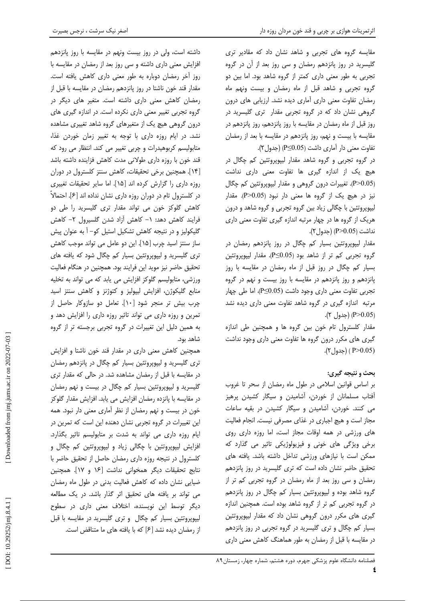مقایسه گروه های تجربی و شاهد نشان داد که مقادیر تری گلیسرید در روز پانزدهم رمضان و سی روز بعد از آن در گروه تجربی به طور معنی داری کمتر از گروه شاهد بود. اما بین دو گروه تجربی و شاهد قبل از ماه رمضان و بیست ونهم ماه رمضان تفاوت معنی داری آماری دیده نشد. ارزیابی های درون گروهی نشان داد که در گروه تجربی مقدار تری گلیسرید در روز قبل از ماه رمضان در مقایسه با روز پانزدهم، روز پانزدهم در مقایسه با بیست و نهم، روز پانزدهم در مقایسه با بعد از رمضان تفاوت معنى دار أماري داشت (P≤0.05) (جدول ٢).

در گروه تجربی و گروه شاهد مقدار لیپوپروتئین کم چگال در هیچ یک از اندازه گیری ها تفاوت معنی داری نداشت (P>0.05). تغییرات درون گروهی و مقدار لیپوپروتئین کم چگال نیز در هیچ یک از گروه ها معنی دار نبود (P>0.05). مقدار لیپوپروتئین با چگالی زیاد بین گروه تجربی و گروه شاهد و درون هریک از گروه ها در چهار مرتبه اندازه گیری تفاوت معنی داری نداشت (P>0.05) (جدول ۲).

مقدار لیپوپروتئین بسیار کم چگال در روز پانزدهم رمضان در گروه تجربی کم تر از شاهد بود (P≤0.05). مقدار لیپوپروتئین بسیار کم چگال در روز قبل از ماه رمضان در مقایسه با روز پانزدهم و روز پانزدهم در مقایسه با روز بیست و نهم در گروه تجربی تفاوت معنی داری وجود داشت (P≤0.05)، اما طی چهار مرتبه اندازه گیری در گروه شاهد تفاوت معنی داری دیده نشد (P>0.05) (جدول ۲).

مقدار کلسترول تام خون بین گروه ها و همچنین طی اندازه گیری های مکرر درون گروه ها تفاوت معنی داری وجود نداشت (P>0.05 ) (جدول ۲).

# بحث و نتيجه گيري:

بر اساس قوانین اسلامی در طول ماه رمضان از سحر تا غروب آفتاب مسلمانان از خوردن، آشامیدن و سیگار کشیدن پرهیز می کنند. خوردن، آشامیدن و سیگار کشیدن در بقیه ساعات مجاز است و هیچ اجباری در غذای مصرفی نیست. انجام فعالیت های ورزشی در همه اوقات مجاز است، اما روزه داری روی برخی ویژگی های خونی و فیزیولوژیکی تاثیر می گذارد که ممكن است با نيازهاى ورزشى تداخل داشته باشد. يافته هاى تحقیق حاضر نشان داده است که تری گلیسرید در روز پانزدهم رمضان و سی روز بعد از ماه رمضان در گروه تجربی کم تر از گروه شاهد بوده و لیپوپروتئین بسیار کم چگال در روز پانزدهم در گروه تجربی کم تر از گروه شاهد بوده است. همچنین اندازه گیری های مکرر درون گروهی نشان داد که مقدار لیپوپروتئین بسیار کم چگال و تری گلیسرید در گروه تجربی در روز پانزدهم در مقایسه با قبل از رمضان به طور هماهنگ کاهش معنی داری

داشته است، ولی در روز بیست ونهم در مقایسه با روز پانزدهم افزایش معنی داری داشته و سی روز بعد از رمضان در مقایسه با روز آخر رمضان دوباره به طور معنی داری کاهش یافته است. مقدار قند خون ناشتا در روز پانزدهم رمضان در مقایسه با قبل از رمضان كاهش معنى دارى داشته است. متغير هاى ديگر در گروه تجربی تغییر معنی داری نکرده است. در اندازه گیری های درون گروهی هیچ یک از متغیرهای گروه شاهد تغییری مشاهده نشد. در ایام روزه داری با توجه به تغییر زمان خوردن غذا، متابولیسم کربوهیدرات و چربی تغییر می کند. انتظار می رود که قند خون با روزه داری طولانی مدت کاهش فزاینده داشته باشد [۱۴]. همچنین برخی تحقیقات، کاهش سنتز کلسترول در دوران روزه داری را گزارش کرده اند [۱۵]. اما سایر تحقیقات تغییری در کلسترول تام در دوران روزه داری نشان نداده اند [۶]. احتمالاً کاهش گلوکز خون می تواند مقدار تری گلیسرید را طی دو فرایند کاهش دهد: ١- کاهش آزاد شدن گلسیرول ٢- کاهش گلیکولیز و در نتیجه کاهش تشکیل استیل کو- آ به عنوان پیش ساز سنتز اسید چرب [۱۵]. این دو عامل می تواند موجب کاهش تری گلیسرید و لیپویروتئین بسیار کم چگال شود که یافته های تحقیق حاضر نیز موید این فرایند بود. همچنین در هنگام فعالیت ورزشی، متابولیسم گلوکز افزایش می یابد که می تواند به تخلیه منابع گلیکوژن، افزایش لیپولیز و کتوژنز و کاهش سنتز اسید چرب بیش تر منجر شود [١٠]. تعامل دو سازوكار حاصل از تمرین و روزه داری می تواند تاثیر روزه داری را افزایش دهد و به همین دلیل این تغییرات در گروه تجربی برجسته تر از گروه شاهد بود.

همچنین کاهش معنی داری در مقدار قند خون ناشتا و افزایش تری گلیسرید و لیپوپروتئین بسیار کم چگال در پانزدهم رمضان در مقایسه با قبل از رمضان مشاهده شد. در حالی که مقدار تری گلیسرید و لیپوپروتئین بسیار کم چگال در بیست و نهم رمضان در مقایسه با پانزده رمضان افزایش می یابد. افزایش مقدار گلوکز خون در بیست و نهم رمضان از نظر آماری معنی دار نبود. همه این تغییرات در گروه تجربی نشان دهنده این است که تمرین در ایام روزه داری می تواند به شدت بر متابولیسم تاثیر بگذارد. افزایش لیپوپروتئین با چگالی زیاد و لیپوپروتئین کم چگال و كلسترول در نتيجه روزه دارى رمضان حاصل از تحقيق حاضر با نتابج تحقيقات ديگر همخواني نداشت [۱۶ و ۱۷]. همچنين ضیایی نشان داده که کاهش فعالیت بدنی در طول ماه رمضان می تواند بر یافته های تحقیق اثر گذار باشد. در یک مطالعه دیگر توسط این نویسنده، اختلاف معنی داری در سطوح لیپوپروتئین بسیار کم چگال و تری گلیسرید در مقایسه با قبل از رمضان دیده نشد [۶] که با یافته های ما متناقض است.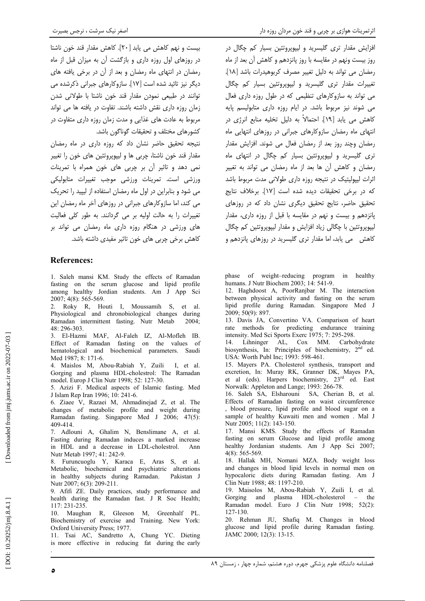۔<br>بیست و نبھی کاهش می باید [۲۰]. کاهش مقدار قند خون ناشتا در روزهای اول روزه داری و بازگشت آن به میزان قبل از ماه رمضان در انتهای ماه رمضان و بعد از آن در برخی یافته های دیگر نیز تائید شده است [۱۷]. سازوکارهای جبرانی ذکرشده می توانند در طبیعی نمودن مقدار قند خون ناشتا با طولانی شدن زمان روزه داری نقش داشته باشند. تفاوت در یافته ها می تواند مربوط به عادت های غذایی و مدت زمان روزه داری متفاوت در كشورهاى مختلف و تحقيقات گوناگون باشد.

نتیجه تحقیق حاضر نشان داد که روزه داری در ماه رمضان مقدار قند خون ناشتا، چربی ها و لیپویروتئین های خون را تغییر نمی دهد و تاثیر آن بر چربی های خون همراه با تمرینات ورزشی است. تمرینات ورزشی موجب تغییرات متابولیکی می شود و بنابراین در اول ماه رمضان استفاده از لیپید را تحریک می کند، اما سازوکارهای جبرانی در روزهای آخر ماه رمضان این تغییرات را به حالت اولیه بر می گردانند. به طور کلی فعالیت های ورزشی در هنگام روزه داری ماه رمضان می تواند بر کاهش برخی چربی های خون تاثیر مفیدی داشته باشد.

# **References:**

1. Saleh mansi KM. Study the effects of Ramadan fasting on the serum glucose and lipid profile among healthy Jordian students. Am J App Sci 2007; 4(8): 565-569.

2. Roky R, Houti I, Moussamih S, et al. Physiological and chronobiological changes during Ramadan intermittent fasting. Nutr Metab  $2004 -$ 48: 296-303.

3. El-Hazmi MAF, Al-Faleh IZ, Al-Mofleh IB. Effect of Ramadan fasting on the values of hematological and biochemical parameters. Saudi Med 1987; 8: 171-6.

4. Maislos M, Abou-Rabiah Y, Zuili L et al. Gorging and plasma HDL-cholestrol: The Ramadan model. Europ J Clin Nutr 1998; 52: 127-30.

5. Azizi F. Medical aspects of Islamic fasting. Med J Islam Rep Iran 1996: 10: 241-6.

6. Ziaee V, Razaei M, Ahmadinejad Z, et al. The changes of metabolic profile and weight during Ramadan fasting. Singapore Med J 2006; 47(5): 409-414.

7. Adlouni A, Ghalim N, Benslimane A, et al. Fasting during Ramadan induces a marked increase in HDL and a decrease in LDL-cholestrol. Ann Nutr Metab 1997; 41: 242-9.

8. Furuncuoglu Y, Karaca E, Aras S, et al. Metabolic, biochemical and psychiatric alterations in healthy subjects during Ramadan. Pakistan J Nutr 2007; 6(3): 209-211.

9. Afifi ZE. Daily practices, study performance and health during the Ramadan fast. J R Soc Health; 117: 231-235.

10. Maughan R, Gleeson M, Greenhalf PL. Biochemistry of exercise and Training. New York: Oxford University Press; 1977.

11. Tsai AC, Sandretto A, Chung YC. Dieting is more effective in reducing fat during the early

افزایش مقدار تری گلیسرید و لیپویروتئین بسیار کم چگال در روز بیست ونهم در مقایسه با روز پانزدهم و کاهش آن بعد از ماه رمضان می تواند به دلیل تغییر مصرف کربوهیدرات باشد [١٨]. ۔<br>تغییرات مقدار تری گلیسرید و لیپویروتئین بسیار کم چگال می تواند به سازوکارهای تنظیمی که در طول روزه داری فعال می شوند نیز مربوط باشد. در ایام روزه داری متابولیسم پایه کاهش می یابد [۱۹]. احتمالاً به دلیل تخلیه منابع انرژی در انتهای ماه رمضان سازوکارهای جبرانی در روزهای انتهایی ماه رمضان وچند روز بعد از رمضان فعال می شوند. افزایش مقدار تر*ی* گلیسرید و لیپویروتئین بسیار کم چگال در انتهای ماه رمضان و كاهش آن ها بعد از ماه رمضان مى تواند به تغيير اثرات لیپولیتیک در نتیجه روزه داری طولانی مدت مربوط باشد كه در برخی تحقیقات دیده شده است [۱۷]. برخلاف نتایج تحقیق حاضر، نتایج تحقیق دیگری نشان داد که در روزهای یانزدهم و بیست و نهم در مقایسه با قبل از روزه داری، مقدار لیپویروتئین با چگالی زیاد افزایش و مقدار لیپویروتئین کم چگال کاهش می یابد، اما مقدار تری گلیسرید در روزهای پانزدهم و

phase of weight-reducing program in healthy humans. J Nutr Biochem 2003; 14: 541-9.

12. Haghdoost A, PoorRanjbar M. The interaction between physical activity and fasting on the serum lipid profile during Ramadan. Singapore Med J 2009: 50(9): 897.

13. Davis JA, Convertino VA. Comparison of heart rate methods for predicting endurance training intensity. Med Sci Sports Exerc 1975; 7: 295-298.

Lihninger AL, Cox MM. Carbohydrate  $14.$ biosynthesis, In: Principles of biochemistry, 2<sup>nd</sup> ed. USA: Worth Publ Inc; 1993: 598-461.

15. Mayers PA. Cholesterol synthesis, transport and excretion, In: Muray RK, Granner DK, Mayes PA, et al (eds). Harpers biochemistry, 23<sup>rd</sup> ed. East Norwalk: Appleton and Lange; 1993: 266-78.

16. Saleh SA, Elsharouni SA, Cherian B, et al. Effects of Ramadan fasting on waist circumference , blood pressure, lipid profile and blood sugar on a sample of healthy Kuwaiti men and women . Mal J Nutr 2005; 11(2): 143-150.

17. Mansi KMS, Study the effects of Ramadan fasting on serum Glucose and lipid profile among healthy Jordanian students. Am J App Sci 2007;  $4(8)$ : 565-569.

18. Hallak MH, Nomani MZA. Body weight loss and changes in blood lipid levels in normal men on hypocaloric diets during Ramadan fasting. Am J Clin Nutr 1988; 48: 1197-210.

19. Maisolos M, Abou-Rabiah Y, Zuili I, et al. Gorging and plasma HDL-cholesterol - the Ramadan model. Euro J Clin Nutr 1998: 52(2): 127-130.

20. Rehman JU, Shafiq M. Changes in blood glucose and lipid profile during Ramadan fasting. JAMC 2000; 12(3): 13-15.

٥